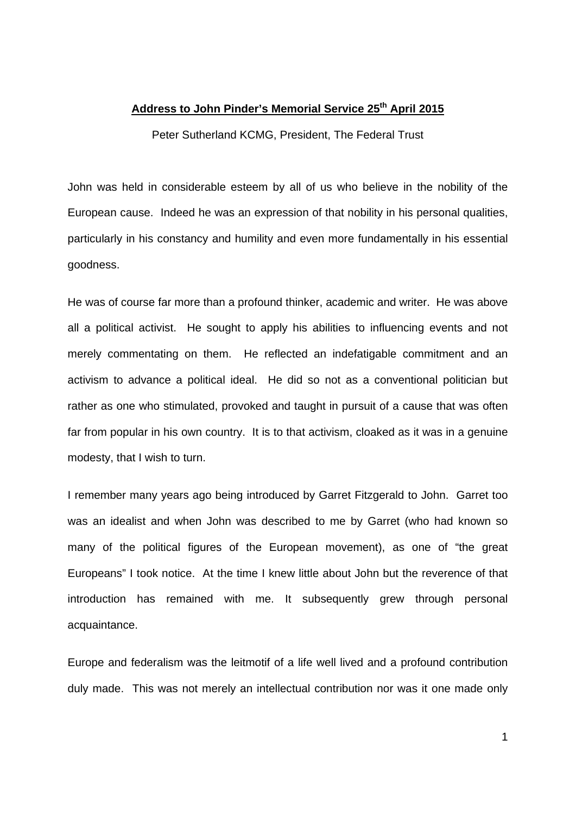## **Address to John Pinder's Memorial Service 25th April 2015**

Peter Sutherland KCMG, President, The Federal Trust

John was held in considerable esteem by all of us who believe in the nobility of the European cause. Indeed he was an expression of that nobility in his personal qualities, particularly in his constancy and humility and even more fundamentally in his essential goodness.

He was of course far more than a profound thinker, academic and writer. He was above all a political activist. He sought to apply his abilities to influencing events and not merely commentating on them. He reflected an indefatigable commitment and an activism to advance a political ideal. He did so not as a conventional politician but rather as one who stimulated, provoked and taught in pursuit of a cause that was often far from popular in his own country. It is to that activism, cloaked as it was in a genuine modesty, that I wish to turn.

I remember many years ago being introduced by Garret Fitzgerald to John. Garret too was an idealist and when John was described to me by Garret (who had known so many of the political figures of the European movement), as one of "the great Europeans" I took notice. At the time I knew little about John but the reverence of that introduction has remained with me. It subsequently grew through personal acquaintance.

Europe and federalism was the leitmotif of a life well lived and a profound contribution duly made. This was not merely an intellectual contribution nor was it one made only

1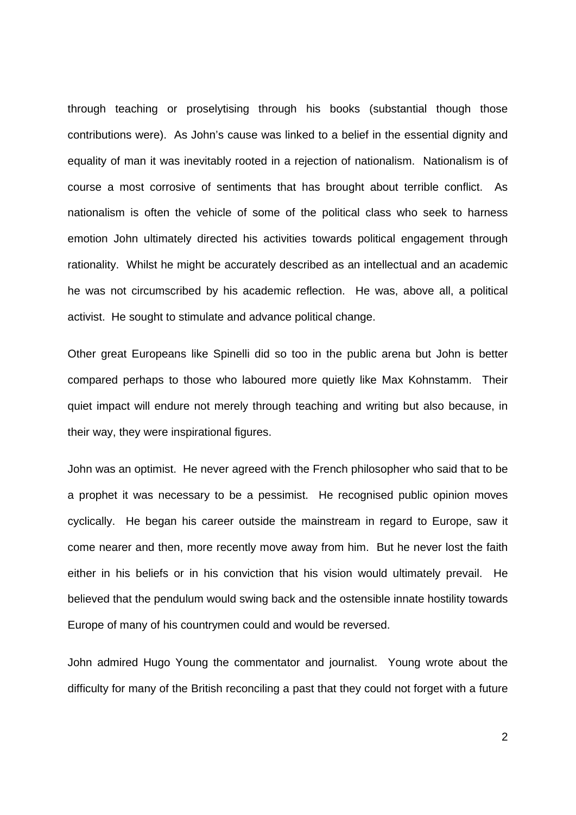through teaching or proselytising through his books (substantial though those contributions were). As John's cause was linked to a belief in the essential dignity and equality of man it was inevitably rooted in a rejection of nationalism. Nationalism is of course a most corrosive of sentiments that has brought about terrible conflict. As nationalism is often the vehicle of some of the political class who seek to harness emotion John ultimately directed his activities towards political engagement through rationality. Whilst he might be accurately described as an intellectual and an academic he was not circumscribed by his academic reflection. He was, above all, a political activist. He sought to stimulate and advance political change.

Other great Europeans like Spinelli did so too in the public arena but John is better compared perhaps to those who laboured more quietly like Max Kohnstamm. Their quiet impact will endure not merely through teaching and writing but also because, in their way, they were inspirational figures.

John was an optimist. He never agreed with the French philosopher who said that to be a prophet it was necessary to be a pessimist. He recognised public opinion moves cyclically. He began his career outside the mainstream in regard to Europe, saw it come nearer and then, more recently move away from him. But he never lost the faith either in his beliefs or in his conviction that his vision would ultimately prevail. He believed that the pendulum would swing back and the ostensible innate hostility towards Europe of many of his countrymen could and would be reversed.

John admired Hugo Young the commentator and journalist. Young wrote about the difficulty for many of the British reconciling a past that they could not forget with a future

 $\mathcal{P}$